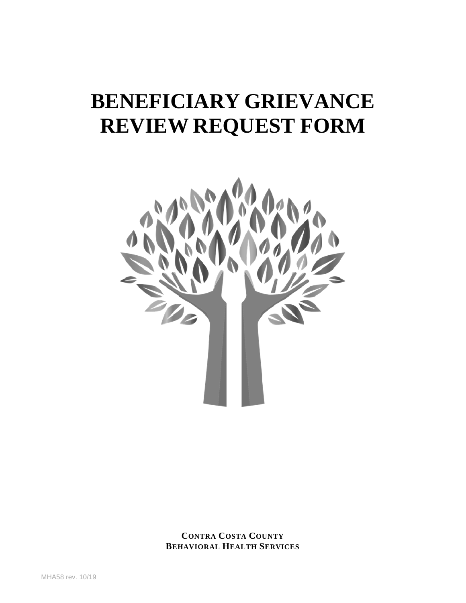# **BENEFICIARY GRIEVANCE REVIEW REQUEST FORM**



**CONTRA COSTA COUNTY BEHAVIORAL HEALTH SERVICES**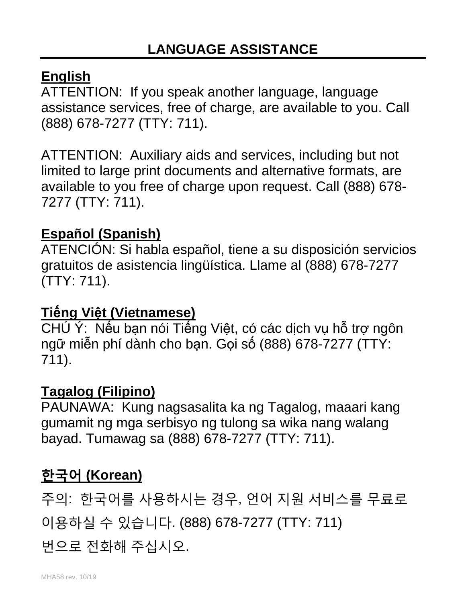### **English**

ATTENTION: If you speak another language, language assistance services, free of charge, are available to you. Call (888) 678-7277 (TTY: 711).

ATTENTION: Auxiliary aids and services, including but not limited to large print documents and alternative formats, are available to you free of charge upon request. Call (888) 678- 7277 (TTY: 711).

### **Español (Spanish)**

ATENCIÓN: Si habla español, tiene a su disposición servicios gratuitos de asistencia lingüística. Llame al (888) 678-7277 (TTY: 711).

### **Tiếng Việt (Vietnamese)**

CHÚ Ý: Nếu bạn nói Tiếng Việt, có các dịch vụ hỗ trợ ngôn ngữ miễn phí dành cho bạn. Gọi số (888) 678-7277 (TTY: 711).

### **Tagalog (Filipino)**

PAUNAWA: Kung nagsasalita ka ng Tagalog, maaari kang gumamit ng mga serbisyo ng tulong sa wika nang walang bayad. Tumawag sa (888) 678-7277 (TTY: 711).

## **한국어 (Korean)**

주의: 한국어를 사용하시는 경우, 언어 지원 서비스를 무료로 이용하실 수 있습니다. (888) 678-7277 (TTY: 711)

번으로 전화해 주십시오.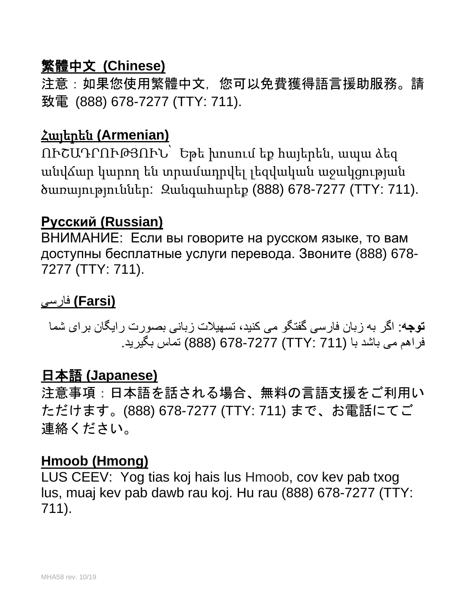### 繁體中文 **(Chinese)**

注意:如果您使用繁體中文,您可以免費獲得語言援助服務。請 致電 (888) 678-7277 (TTY: 711).

### Հայերեն **(Armenian)**

ՈՒՇԱԴՐՈՒԹՅՈՒՆ՝ Եթե խոսում եք հայերեն, ապա ձեզ անվճար կարող են տրամադրվել լեզվական աջակցության ծառայություններ: Զանգահարեք (888) 678-7277 (TTY: 711).

### **Русский (Russian)**

ВНИМАНИЕ: Если вы говорите на русском языке, то вам доступны бесплатные услуги перевода. Звоните (888) 678- 7277 (TTY: 711).

### **(Farsi (**فارسی

**توجھ**: اگر بھ زبان فارسی گفتگو می کنید، تسھیلات زبانی بصورت رایگان برای شما فراھم می باشد با (711 :TTY (678-7277) 888 (تماس بگیرید.

### 日本語 **(Japanese)**

注意事項:日本語を話される場合、無料の言語支援をご利用い ただけます。(888) 678-7277 (TTY: 711) まで、お電話にてご 連絡ください。

### **Hmoob (Hmong)**

LUS CEEV: Yog tias koj hais lus Hmoob, cov kev pab txog lus, muaj kev pab dawb rau koj. Hu rau (888) 678-7277 (TTY: 711).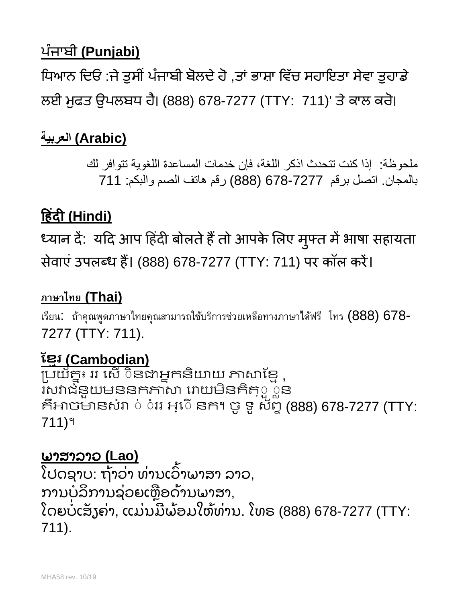## ਪੰ ਜਾਬੀ **(Punjabi)**

ਧਿਆਨ ਦਿਓ :ਜੇ ਤੁਸੀਂ ਪੰਜਾਬੀ ਬੋਲਦੇ ਹੋ ,ਤਾਂ ਭਾਸ਼ਾ ਵਿੱਚ ਸਹਾਇਤਾ ਸੇਵਾ ਤੁਹਾਡੇ ਲਈ ਮੁਫਤ ਉਪਲਬਧ ਹੈ। (888) 678-7277 (TTY: 711)' ਤੇ ਕਾਲ ਕਰੋ।

### **(Arabic (العربیة**

ملحوظة: إذا كنت تتحدث اذكر اللغة، فإن خدمات المساعدة اللغویة تتوافر لك بالمجان. اتصل برقم 678-7277 (888) رقم ھاتف الصم والبكم: 711

### **�हंद� (Hindi)**

ध्यान दे: यदि आप हिंदी बोलते हैं तो आपके लिए मुफ्त में भाषा सहायता सेवाएं उपलब्ध हैं। (888) 678-7277 (TTY: 711) पर कॉल करें।

### **ภาษาไทย (Thai)**

เรียน: ถ้าคุณพูดภาษาไทยคุณสามารถใช้บริการช่วยเหลือทางภาษาได้ฟรี โทร (888) 678- 7277 (TTY: 711).

### <u>ខ្មែរ (Cambodian)</u>

្របយ័គ្នះ ររ សើ ៑នងាអ្នកនិយាយ ភាសាខ្មែ ុ រសវាជំនួយមននកភាសា រោយមីនគិតុួួួន គិអាចមានសំរា ់ ់ររ អ្េ៑េ នក។ ចូ ទូ ស័ព្ទ (888) 678-7277 (TTY: 711)។

### ພາສາລາວ **(Lao)**

ໄປດຊາບ: ຖ້າວ່າ ທ່ານເວົາພາສາ ລາວ, ່ ່ ້ ການບໍລິການຊ່ວຍເຫຼືອດ້ານພາສາ, ໂດຍບໍ່ເສັ້ງຄ່າ, ແມ່ນມີພ້ອມໃຫ້ທ່ານ. ໂທຣ (888) 678-7277 (TTY: ັ ່ ່ ີ ່ 711).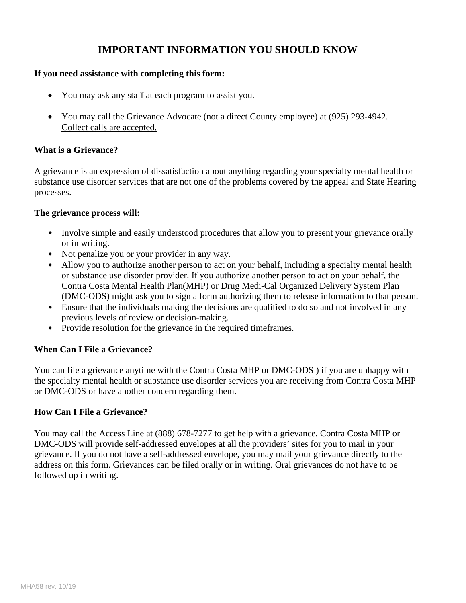### **IMPORTANT INFORMATION YOU SHOULD KNOW**

#### **If you need assistance with completing this form:**

- You may ask any staff at each program to assist you.
- You may call the Grievance Advocate (not a direct County employee) at (925) 293-4942. Collect calls are accepted.

#### **What is a Grievance?**

A grievance is an expression of dissatisfaction about anything regarding your specialty mental health or substance use disorder services that are not one of the problems covered by the appeal and State Hearing processes.

#### **The grievance process will:**

- Involve simple and easily understood procedures that allow you to present your grievance orally or in writing.
- Not penalize you or your provider in any way.
- Allow you to authorize another person to act on your behalf, including a specialty mental health or substance use disorder provider. If you authorize another person to act on your behalf, the Contra Costa Mental Health Plan(MHP) or Drug Medi-Cal Organized Delivery System Plan (DMC-ODS) might ask you to sign a form authorizing them to release information to that person.
- Ensure that the individuals making the decisions are qualified to do so and not involved in any previous levels of review or decision-making.
- Provide resolution for the grievance in the required timeframes.

#### **When Can I File a Grievance?**

You can file a grievance anytime with the Contra Costa MHP or DMC-ODS ) if you are unhappy with the specialty mental health or substance use disorder services you are receiving from Contra Costa MHP or DMC-ODS or have another concern regarding them.

#### **How Can I File a Grievance?**

You may call the Access Line at (888) 678-7277 to get help with a grievance. Contra Costa MHP or DMC-ODS will provide self-addressed envelopes at all the providers' sites for you to mail in your grievance. If you do not have a self-addressed envelope, you may mail your grievance directly to the address on this form. Grievances can be filed orally or in writing. Oral grievances do not have to be followed up in writing.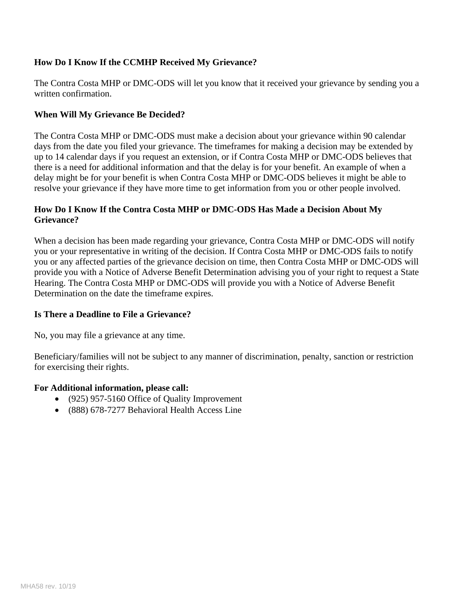#### **How Do I Know If the CCMHP Received My Grievance?**

The Contra Costa MHP or DMC-ODS will let you know that it received your grievance by sending you a written confirmation.

#### **When Will My Grievance Be Decided?**

The Contra Costa MHP or DMC-ODS must make a decision about your grievance within 90 calendar days from the date you filed your grievance. The timeframes for making a decision may be extended by up to 14 calendar days if you request an extension, or if Contra Costa MHP or DMC-ODS believes that there is a need for additional information and that the delay is for your benefit. An example of when a delay might be for your benefit is when Contra Costa MHP or DMC-ODS believes it might be able to resolve your grievance if they have more time to get information from you or other people involved.

#### **How Do I Know If the Contra Costa MHP or DMC-ODS Has Made a Decision About My Grievance?**

When a decision has been made regarding your grievance, Contra Costa MHP or DMC-ODS will notify you or your representative in writing of the decision. If Contra Costa MHP or DMC-ODS fails to notify you or any affected parties of the grievance decision on time, then Contra Costa MHP or DMC-ODS will provide you with a Notice of Adverse Benefit Determination advising you of your right to request a State Hearing. The Contra Costa MHP or DMC-ODS will provide you with a Notice of Adverse Benefit Determination on the date the timeframe expires.

#### **Is There a Deadline to File a Grievance?**

No, you may file a grievance at any time.

Beneficiary/families will not be subject to any manner of discrimination, penalty, sanction or restriction for exercising their rights.

#### **For Additional information, please call:**

- (925) 957-5160 Office of Quality Improvement
- (888) 678-7277 Behavioral Health Access Line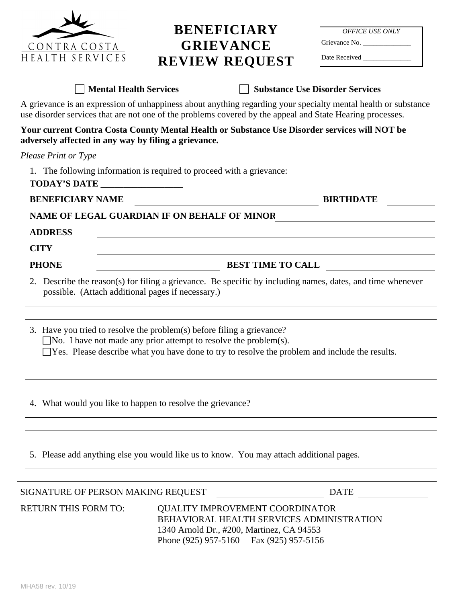

### **BENEFICIARY GRIEVANCE REVIEW REQUEST**

| <i><b>OFFICE USE ONLY</b></i> |
|-------------------------------|
| Grievance No.                 |
| Date Received                 |

 **Mental Health Services Substance Use Disorder Services**

A grievance is an expression of unhappiness about anything regarding your specialty mental health or substance use disorder services that are not one of the problems covered by the appeal and State Hearing processes.

#### **Your current Contra Costa County Mental Health or Substance Use Disorder services will NOT be adversely affected in any way by filing a grievance.**

*Please Print or Type*

- 1. The following information is required to proceed with a grievance:
- **TODAY'S DATE** \_\_\_\_\_\_\_\_\_\_\_\_\_\_\_\_\_\_

**BENEFICIARY NAME BIRTHDATE**

**NAME OF LEGAL GUARDIAN IF ON BEHALF OF MINOR**

**ADDRESS**

**CITY**

**PHONE BEST TIME TO CALL**

- 2. Describe the reason(s) for filing a grievance. Be specific by including names, dates, and time whenever possible. (Attach additional pages if necessary.)
- 3. Have you tried to resolve the problem(s) before filing a grievance?  $\Box$ No. I have not made any prior attempt to resolve the problem(s). □ Yes. Please describe what you have done to try to resolve the problem and include the results.
- 4. What would you like to happen to resolve the grievance?
- 5. Please add anything else you would like us to know. You may attach additional pages.

| SIGNATURE OF PERSON MAKING REQUEST |                                                                                                                                                                             | <b>DATE</b> |
|------------------------------------|-----------------------------------------------------------------------------------------------------------------------------------------------------------------------------|-------------|
| RETURN THIS FORM TO:               | <b>OUALITY IMPROVEMENT COORDINATOR</b><br>BEHAVIORAL HEALTH SERVICES ADMINISTRATION<br>1340 Arnold Dr., #200, Martinez, CA 94553<br>Phone (925) 957-5160 Fax (925) 957-5156 |             |